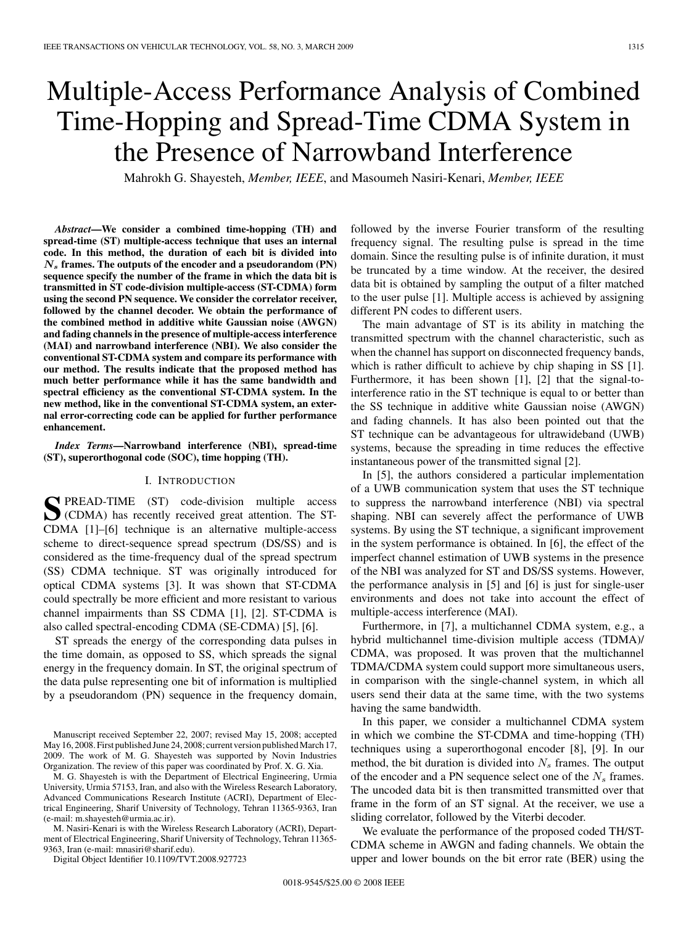# Multiple-Access Performance Analysis of Combined Time-Hopping and Spread-Time CDMA System in the Presence of Narrowband Interference

Mahrokh G. Shayesteh, *Member, IEEE*, and Masoumeh Nasiri-Kenari, *Member, IEEE*

*Abstract***—We consider a combined time-hopping (TH) and spread-time (ST) multiple-access technique that uses an internal code. In this method, the duration of each bit is divided into** *N<sup>s</sup>* **frames. The outputs of the encoder and a pseudorandom (PN) sequence specify the number of the frame in which the data bit is transmitted in ST code-division multiple-access (ST-CDMA) form using the second PN sequence. We consider the correlator receiver, followed by the channel decoder. We obtain the performance of the combined method in additive white Gaussian noise (AWGN) and fading channels in the presence of multiple-access interference (MAI) and narrowband interference (NBI). We also consider the conventional ST-CDMA system and compare its performance with our method. The results indicate that the proposed method has much better performance while it has the same bandwidth and spectral efficiency as the conventional ST-CDMA system. In the new method, like in the conventional ST-CDMA system, an external error-correcting code can be applied for further performance enhancement.**

*Index Terms***—Narrowband interference (NBI), spread-time (ST), superorthogonal code (SOC), time hopping (TH).**

#### I. INTRODUCTION

**S**PREAD-TIME (ST) code-division multiple access (CDMA) has recently received great attention. The ST-CDMA [1]–[6] technique is an alternative multiple-access scheme to direct-sequence spread spectrum (DS/SS) and is considered as the time-frequency dual of the spread spectrum (SS) CDMA technique. ST was originally introduced for optical CDMA systems [3]. It was shown that ST-CDMA could spectrally be more efficient and more resistant to various channel impairments than SS CDMA [1], [2]. ST-CDMA is also called spectral-encoding CDMA (SE-CDMA) [5], [6].

ST spreads the energy of the corresponding data pulses in the time domain, as opposed to SS, which spreads the signal energy in the frequency domain. In ST, the original spectrum of the data pulse representing one bit of information is multiplied by a pseudorandom (PN) sequence in the frequency domain,

Manuscript received September 22, 2007; revised May 15, 2008; accepted May 16, 2008. First published June 24, 2008; current version published March 17, 2009. The work of M. G. Shayesteh was supported by Novin Industries Organization. The review of this paper was coordinated by Prof. X. G. Xia.

M. G. Shayesteh is with the Department of Electrical Engineering, Urmia University, Urmia 57153, Iran, and also with the Wireless Research Laboratory, Advanced Communications Research Institute (ACRI), Department of Electrical Engineering, Sharif University of Technology, Tehran 11365-9363, Iran (e-mail: m.shayesteh@urmia.ac.ir).

M. Nasiri-Kenari is with the Wireless Research Laboratory (ACRI), Department of Electrical Engineering, Sharif University of Technology, Tehran 11365- 9363, Iran (e-mail: mnasiri@sharif.edu).

Digital Object Identifier 10.1109/TVT.2008.927723

followed by the inverse Fourier transform of the resulting frequency signal. The resulting pulse is spread in the time domain. Since the resulting pulse is of infinite duration, it must be truncated by a time window. At the receiver, the desired data bit is obtained by sampling the output of a filter matched to the user pulse [1]. Multiple access is achieved by assigning different PN codes to different users.

The main advantage of ST is its ability in matching the transmitted spectrum with the channel characteristic, such as when the channel has support on disconnected frequency bands, which is rather difficult to achieve by chip shaping in SS [1]. Furthermore, it has been shown [1], [2] that the signal-tointerference ratio in the ST technique is equal to or better than the SS technique in additive white Gaussian noise (AWGN) and fading channels. It has also been pointed out that the ST technique can be advantageous for ultrawideband (UWB) systems, because the spreading in time reduces the effective instantaneous power of the transmitted signal [2].

In [5], the authors considered a particular implementation of a UWB communication system that uses the ST technique to suppress the narrowband interference (NBI) via spectral shaping. NBI can severely affect the performance of UWB systems. By using the ST technique, a significant improvement in the system performance is obtained. In [6], the effect of the imperfect channel estimation of UWB systems in the presence of the NBI was analyzed for ST and DS/SS systems. However, the performance analysis in [5] and [6] is just for single-user environments and does not take into account the effect of multiple-access interference (MAI).

Furthermore, in [7], a multichannel CDMA system, e.g., a hybrid multichannel time-division multiple access (TDMA)/ CDMA, was proposed. It was proven that the multichannel TDMA/CDMA system could support more simultaneous users, in comparison with the single-channel system, in which all users send their data at the same time, with the two systems having the same bandwidth.

In this paper, we consider a multichannel CDMA system in which we combine the ST-CDMA and time-hopping (TH) techniques using a superorthogonal encoder [8], [9]. In our method, the bit duration is divided into  $N_s$  frames. The output of the encoder and a PN sequence select one of the  $N_s$  frames. The uncoded data bit is then transmitted transmitted over that frame in the form of an ST signal. At the receiver, we use a sliding correlator, followed by the Viterbi decoder.

We evaluate the performance of the proposed coded TH/ST-CDMA scheme in AWGN and fading channels. We obtain the upper and lower bounds on the bit error rate (BER) using the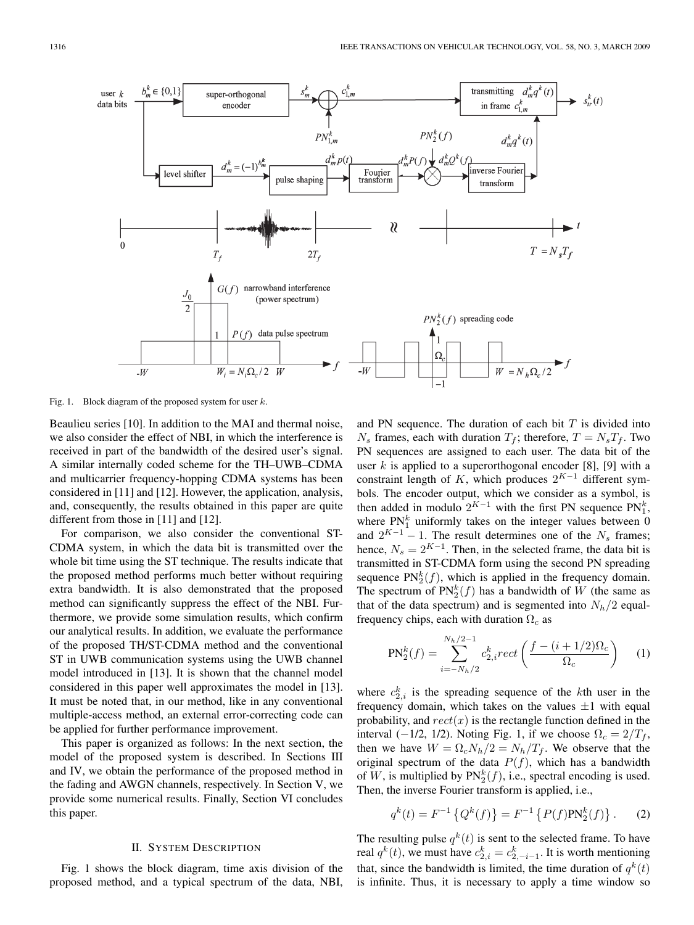

Fig. 1. Block diagram of the proposed system for user  $k$ .

Beaulieu series [10]. In addition to the MAI and thermal noise, we also consider the effect of NBI, in which the interference is received in part of the bandwidth of the desired user's signal. A similar internally coded scheme for the TH–UWB–CDMA and multicarrier frequency-hopping CDMA systems has been considered in [11] and [12]. However, the application, analysis, and, consequently, the results obtained in this paper are quite different from those in [11] and [12].

For comparison, we also consider the conventional ST-CDMA system, in which the data bit is transmitted over the whole bit time using the ST technique. The results indicate that the proposed method performs much better without requiring extra bandwidth. It is also demonstrated that the proposed method can significantly suppress the effect of the NBI. Furthermore, we provide some simulation results, which confirm our analytical results. In addition, we evaluate the performance of the proposed TH/ST-CDMA method and the conventional ST in UWB communication systems using the UWB channel model introduced in [13]. It is shown that the channel model considered in this paper well approximates the model in [13]. It must be noted that, in our method, like in any conventional multiple-access method, an external error-correcting code can be applied for further performance improvement.

This paper is organized as follows: In the next section, the model of the proposed system is described. In Sections III and IV, we obtain the performance of the proposed method in the fading and AWGN channels, respectively. In Section V, we provide some numerical results. Finally, Section VI concludes this paper.

### II. SYSTEM DESCRIPTION

Fig. 1 shows the block diagram, time axis division of the proposed method, and a typical spectrum of the data, NBI, and PN sequence. The duration of each bit  $T$  is divided into  $N_s$  frames, each with duration  $T_f$ ; therefore,  $T = N_s T_f$ . Two PN sequences are assigned to each user. The data bit of the user k is applied to a superorthogonal encoder [8], [9] with a constraint length of K, which produces  $2^{K-1}$  different symbols. The encoder output, which we consider as a symbol, is then added in modulo  $2^{K-1}$  with the first PN sequence PN<sup>k</sup>, where PN<sup>k</sup> uniformly takes on the integer values between 0 where  $PN_1^k$  uniformly takes on the integer values between 0 and  $2^{K-1} - 1$ . The result determines one of the  $N_s$  frames; hence,  $N_s = 2^{K-1}$ . Then, in the selected frame, the data bit is transmitted in ST-CDMA form using the second PN spreading sequence  $PN_2^k(f)$ , which is applied in the frequency domain.<br>The spectrum of  $PN_2^k(f)$  has a bandwidth of W (the same as The spectrum of  $PN_2^k(f)$  has a bandwidth of W (the same as<br>that of the data spectrum) and is segmented into N. (2 equalthat of the data spectrum) and is segmented into  $N_h/2$  equalfrequency chips, each with duration  $\Omega_c$  as

$$
PN_2^k(f) = \sum_{i=-N_h/2}^{N_h/2-1} c_{2,i}^k rect\left(\frac{f - (i+1/2)\Omega_c}{\Omega_c}\right)
$$
 (1)

where  $c_{2,i}^k$  is the spreading sequence of the kth user in the frequency domain, which takes on the values  $\pm 1$  with equal probability, and  $rect(x)$  is the rectangle function defined in the interval (−1/2, 1/2). Noting Fig. 1, if we choose  $\Omega_c = 2/T_f$ , then we have  $W = \Omega_c N_h/2 = N_h/T_f$ . We observe that the original spectrum of the data  $P(f)$ , which has a bandwidth of W, is multiplied by  $PN_{2}^{k}(f)$ , i.e., spectral encoding is used.<br>Then the inverse Fourier transform is applied i.e. Then, the inverse Fourier transform is applied, i.e.,

$$
q^{k}(t) = F^{-1}\left\{Q^{k}(f)\right\} = F^{-1}\left\{P(f) \text{PN}_{2}^{k}(f)\right\}.
$$
 (2)

The resulting pulse  $q^k(t)$  is sent to the selected frame. To have real  $q^k(t)$ , we must have  $c_{2,i}^k = c_{2,-i-1}^k$ . It is worth mentioning<br>that since the handwidth is limited the time duration of  $g^k(t)$ that, since the bandwidth is limited, the time duration of  $q^k(t)$ is infinite. Thus, it is necessary to apply a time window so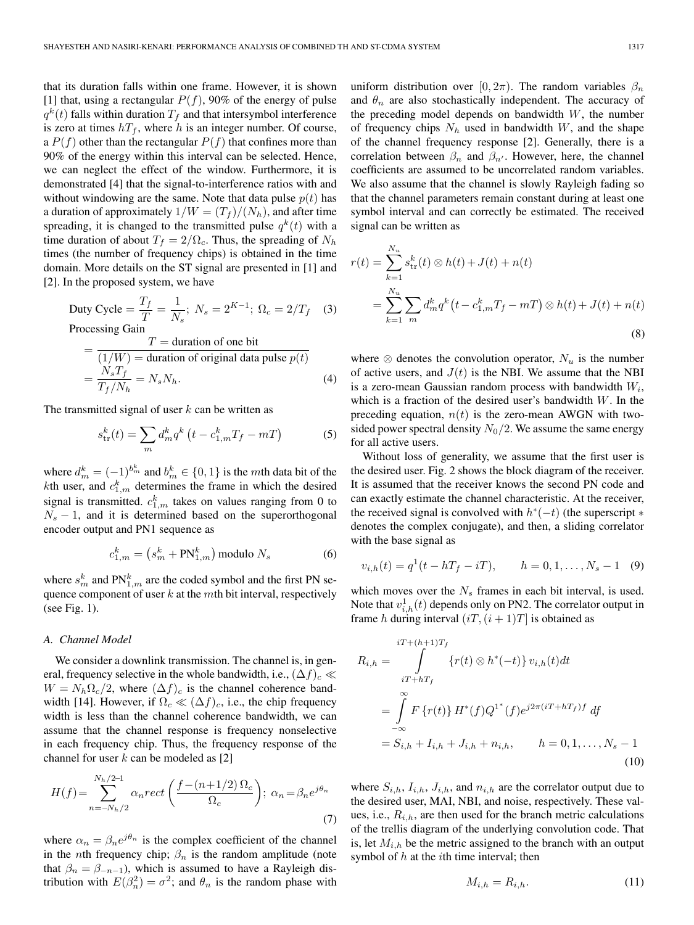that its duration falls within one frame. However, it is shown [1] that, using a rectangular  $P(f)$ , 90% of the energy of pulse  $q^k(t)$  falls within duration  $T_f$  and that intersymbol interference is zero at times  $hT_f$ , where h is an integer number. Of course, a  $P(f)$  other than the rectangular  $P(f)$  that confines more than 90% of the energy within this interval can be selected. Hence, we can neglect the effect of the window. Furthermore, it is demonstrated [4] that the signal-to-interference ratios with and without windowing are the same. Note that data pulse  $p(t)$  has a duration of approximately  $1/W = (T_f)/(N_h)$ , and after time spreading, it is changed to the transmitted pulse  $q^k(t)$  with a time duration of about  $T_f = 2/\Omega_c$ . Thus, the spreading of  $N_h$ times (the number of frequency chips) is obtained in the time domain. More details on the ST signal are presented in [1] and [2]. In the proposed system, we have

Duty Cycle = 
$$
\frac{T_f}{T} = \frac{1}{N_s}
$$
;  $N_s = 2^{K-1}$ ;  $\Omega_c = 2/T_f$  (3)  
Processing Gain

Processing Gain

$$
= \frac{T = \text{duration of one bit}}{(1/W) = \text{duration of original data pulse } p(t)}
$$
  
=  $\frac{N_s T_f}{T_f/N_h} = N_s N_h.$  (4)

The transmitted signal of user  $k$  can be written as

$$
s_{\text{tr}}^{k}(t) = \sum_{m} d_{m}^{k} q^{k} \left( t - c_{1,m}^{k} T_{f} - m T \right)
$$
 (5)

where  $d_m^k = (-1)^{b_m^k}$  and  $b_m^k \in \{0, 1\}$  is the mth data bit of the  $k$ th user and  $c^k$  determines the frame in which the desired kth user, and  $c_{1,m}^k$  determines the frame in which the desired signal is transmitted.  $c_{1,m}^k$  takes on values ranging from 0 to  $N_s - 1$ , and it is determined based on the superorthogonal encoder output and PN1 sequence as

$$
c_{1,m}^k = \left(s_m^k + \text{PN}_{1,m}^k\right) \text{modulo } N_s \tag{6}
$$

where  $s_m^k$  and  $\text{PN}_{1,m}^k$  are the coded symbol and the first PN sequence component of user  $k$  at the mth bit interval, respectively (see Fig. 1).

#### *A. Channel Model*

We consider a downlink transmission. The channel is, in general, frequency selective in the whole bandwidth, i.e.,  $(\Delta f)_c \ll$  $W = N_h \Omega_c / 2$ , where  $(\Delta f)_c$  is the channel coherence bandwidth [14]. However, if  $\Omega_c \ll (\Delta f)_c$ , i.e., the chip frequency width is less than the channel coherence bandwidth, we can assume that the channel response is frequency nonselective in each frequency chip. Thus, the frequency response of the channel for user  $k$  can be modeled as [2]

$$
H(f) = \sum_{n=-N_h/2}^{N_h/2-1} \alpha_n rect\left(\frac{f - (n+1/2)\,\Omega_c}{\Omega_c}\right); \ \alpha_n = \beta_n e^{j\theta_n} \tag{7}
$$

where  $\alpha_n = \beta_n e^{j\theta_n}$  is the complex coefficient of the channel in the *n*th frequency chip;  $\beta_n$  is the random amplitude (note that  $\beta_n = \beta_{-n-1}$ , which is assumed to have a Rayleigh distribution with  $E(\beta_n^2) = \sigma^2$ ; and  $\theta_n$  is the random phase with

uniform distribution over [0,  $2\pi$ ). The random variables  $\beta_n$ and  $\theta_n$  are also stochastically independent. The accuracy of the preceding model depends on bandwidth  $W$ , the number of frequency chips  $N_h$  used in bandwidth  $W$ , and the shape of the channel frequency response [2]. Generally, there is a correlation between  $\beta_n$  and  $\beta_{n'}$ . However, here, the channel coefficients are assumed to be uncorrelated random variables. We also assume that the channel is slowly Rayleigh fading so that the channel parameters remain constant during at least one symbol interval and can correctly be estimated. The received signal can be written as

$$
r(t) = \sum_{k=1}^{N_u} s_{\text{tr}}^k(t) \otimes h(t) + J(t) + n(t)
$$
  
= 
$$
\sum_{k=1}^{N_u} \sum_m d_m^k q^k (t - c_{1,m}^k T_f - mT) \otimes h(t) + J(t) + n(t)
$$
 (8)

where  $\otimes$  denotes the convolution operator,  $N_u$  is the number of active users, and  $J(t)$  is the NBI. We assume that the NBI is a zero-mean Gaussian random process with bandwidth  $W_i$ , which is a fraction of the desired user's bandwidth  $W$ . In the preceding equation,  $n(t)$  is the zero-mean AWGN with twosided power spectral density  $N_0/2$ . We assume the same energy for all active users.

Without loss of generality, we assume that the first user is the desired user. Fig. 2 shows the block diagram of the receiver. It is assumed that the receiver knows the second PN code and can exactly estimate the channel characteristic. At the receiver, the received signal is convolved with  $h<sup>*</sup>(-t)$  (the superscript  $*$ denotes the complex conjugate), and then, a sliding correlator with the base signal as

$$
v_{i,h}(t) = q^1(t - hT_f - iT), \qquad h = 0, 1, \dots, N_s - 1 \quad (9)
$$

which moves over the  $N_s$  frames in each bit interval, is used. Note that  $v_{i,h}^1(t)$  depends only on PN2. The correlator output in frame h during interval  $(iT)(i+1)T$  is obtained as frame h during interval  $(iT, (i + 1)T)$  is obtained as

$$
R_{i,h} = \int_{iT + hT_f}^{iT + (h+1)T_f} \{r(t) \otimes h^*(-t)\} v_{i,h}(t) dt
$$
  
= 
$$
\int_{-\infty}^{\infty} F\{r(t)\} H^*(f) Q^{1*}(f) e^{j2\pi(iT + hT_f)f} df
$$
  
= 
$$
S_{i,h} + I_{i,h} + J_{i,h} + n_{i,h}, \qquad h = 0, 1, ..., N_s - 1
$$
 (10)

where  $S_{i,h}$ ,  $I_{i,h}$ ,  $J_{i,h}$ , and  $n_{i,h}$  are the correlator output due to the desired user, MAI, NBI, and noise, respectively. These values, i.e.,  $R_{i,h}$ , are then used for the branch metric calculations of the trellis diagram of the underlying convolution code. That is, let  $M_{i,h}$  be the metric assigned to the branch with an output symbol of  $h$  at the *i*th time interval; then

$$
M_{i,h} = R_{i,h}.\tag{11}
$$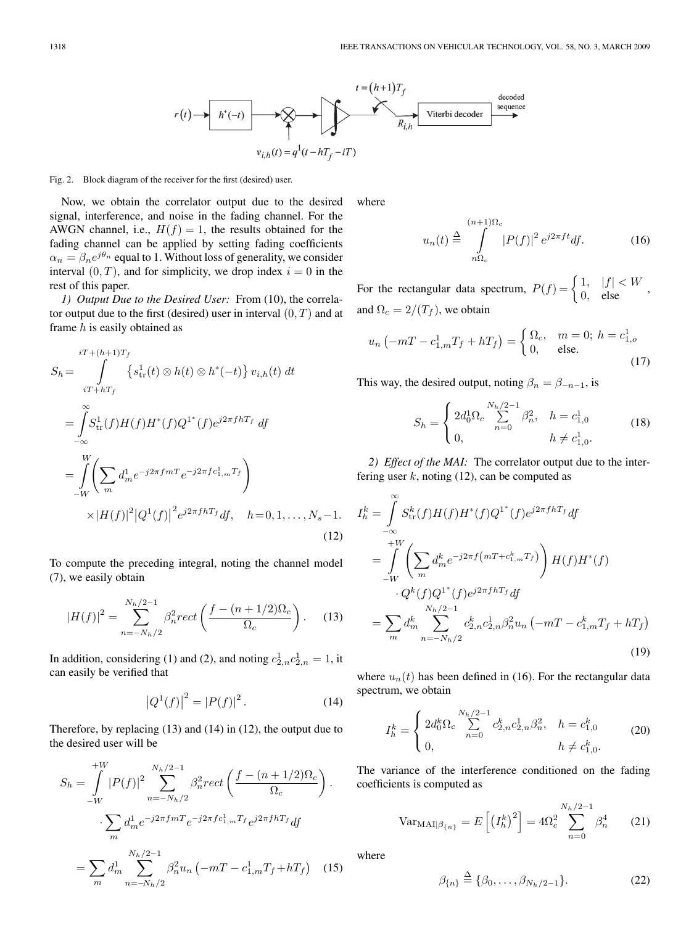

#### Fig. 2. Block diagram of the receiver for the first (desired) user.

Now, we obtain the correlator output due to the desired signal, interference, and noise in the fading channel. For the AWGN channel, i.e.,  $H(f)=1$ , the results obtained for the fading channel can be applied by setting fading coefficients  $\alpha_n = \beta_n e^{j\theta_n}$  equal to 1. Without loss of generality, we consider interval  $(0, T)$ , and for simplicity, we drop index  $i = 0$  in the rest of this paper.

*1) Output Due to the Desired User:* From (10), the correlator output due to the first (desired) user in interval  $(0, T)$  and at frame  $h$  is easily obtained as

$$
S_h = \int_{iT + (h+1)T_f}^{iT + (h+1)T_f} \{s_{\text{tr}}^1(t) \otimes h(t) \otimes h^*(-t)\} v_{i,h}(t) dt
$$
  
\n
$$
= \int_{-\infty}^{\infty} S_{\text{tr}}^1(f)H(f)H^*(f)Q^{1*}(f)e^{j2\pi f hT_f} df
$$
  
\n
$$
= \int_{-W}^{W} \left( \sum_m d_m^1 e^{-j2\pi f mT} e^{-j2\pi f c_{1,m}^1 T_f} \right)
$$
  
\n
$$
\times |H(f)|^2 |Q^1(f)|^2 e^{j2\pi f hT_f} df, \quad h = 0, 1, ..., N_s - 1.
$$
\n(12)

To compute the preceding integral, noting the channel model (7), we easily obtain

$$
|H(f)|^2 = \sum_{n=-N_h/2}^{N_h/2-1} \beta_n^2 rect\left(\frac{f - (n+1/2)\Omega_c}{\Omega_c}\right).
$$
 (13)

In addition, considering (1) and (2), and noting  $c_{2,n}^1 c_{2,n}^1 = 1$ , it can easily be verified that can easily be verified that

$$
|Q^{1}(f)|^{2} = |P(f)|^{2}.
$$
 (14)

Therefore, by replacing (13) and (14) in (12), the output due to the desired user will be

$$
S_h = \int_{-W}^{+W} |P(f)|^2 \sum_{n=-N_h/2}^{N_h/2-1} \beta_n^2 rect \left( \frac{f - (n+1/2)\Omega_c}{\Omega_c} \right).
$$

$$
\sum_m d_m^1 e^{-j2\pi f m T} e^{-j2\pi f c_{1,m}^1 T_f} e^{j2\pi f h T_f} df
$$

$$
= \sum_m d_m^1 \sum_{n=-N_h/2}^{N_h/2-1} \beta_n^2 u_n \left( -mT - c_{1,m}^1 T_f + h T_f \right) \quad (15)
$$

where

$$
u_n(t) \stackrel{\Delta}{=} \int_{n\Omega_c}^{(n+1)\Omega_c} |P(f)|^2 e^{j2\pi ft} df.
$$
 (16)

For the rectangular data spectrum,  $P(f) = \begin{cases} 1, & |f| < W \\ 0, & \text{else} \end{cases}$ , and  $Q = 2/(T_c)$ , we obtain and  $\Omega_c = 2/(T_f)$ , we obtain

$$
u_n \left( -mT - c_{1,m}^1 T_f + hT_f \right) = \begin{cases} \Omega_c, & m = 0; \ h = c_{1,o}^1 \\ 0, & \text{else.} \end{cases}
$$
 (17)

This way, the desired output, noting  $\beta_n = \beta_{-n-1}$ , is

$$
S_h = \begin{cases} 2d_0^1 \Omega_c \sum_{n=0}^{N_h/2 - 1} \beta_n^2, & h = c_{1,0}^1 \\ 0, & h \neq c_{1,0}^1. \end{cases}
$$
 (18)

*2) Effect of the MAI:* The correlator output due to the interfering user  $k$ , noting (12), can be computed as

$$
I_h^k = \int_{-\infty}^{\infty} S_{\text{tr}}^k(f) H(f) H^*(f) Q^{1*}(f) e^{j2\pi f h T_f} df
$$
  
\n
$$
= \int_{-W}^{+W} \left( \sum_m d_m^k e^{-j2\pi f (mT + c_{1,m}^k T_f)} \right) H(f) H^*(f)
$$
  
\n
$$
\cdot Q^k(f) Q^{1*}(f) e^{j2\pi f h T_f} df
$$
  
\n
$$
= \sum_m d_m^k \sum_{n=-N_h/2}^{N_h/2-1} c_{2,n}^k c_{2,n}^1 \beta_n^2 u_n \left( -mT - c_{1,m}^k T_f + h T_f \right)
$$
\n(19)

where  $u_n(t)$  has been defined in (16). For the rectangular data spectrum, we obtain

$$
I_h^k = \begin{cases} 2d_0^k \Omega_c \sum_{n=0}^{N_h/2-1} c_{2,n}^k c_{2,n}^1 \beta_n^2, & h = c_{1,0}^k\\ 0, & h \neq c_{1,0}^k. \end{cases}
$$
 (20)

The variance of the interference conditioned on the fading coefficients is computed as

$$
\text{Var}_{\text{MAI}|\beta_{\{n\}}} = E\left[\left(I_h^k\right)^2\right] = 4\Omega_c^2 \sum_{n=0}^{N_h/2 - 1} \beta_n^4 \qquad (21)
$$

where

$$
\beta_{\{n\}} \stackrel{\Delta}{=} \{\beta_0, \dots, \beta_{N_h/2-1}\}.
$$
 (22)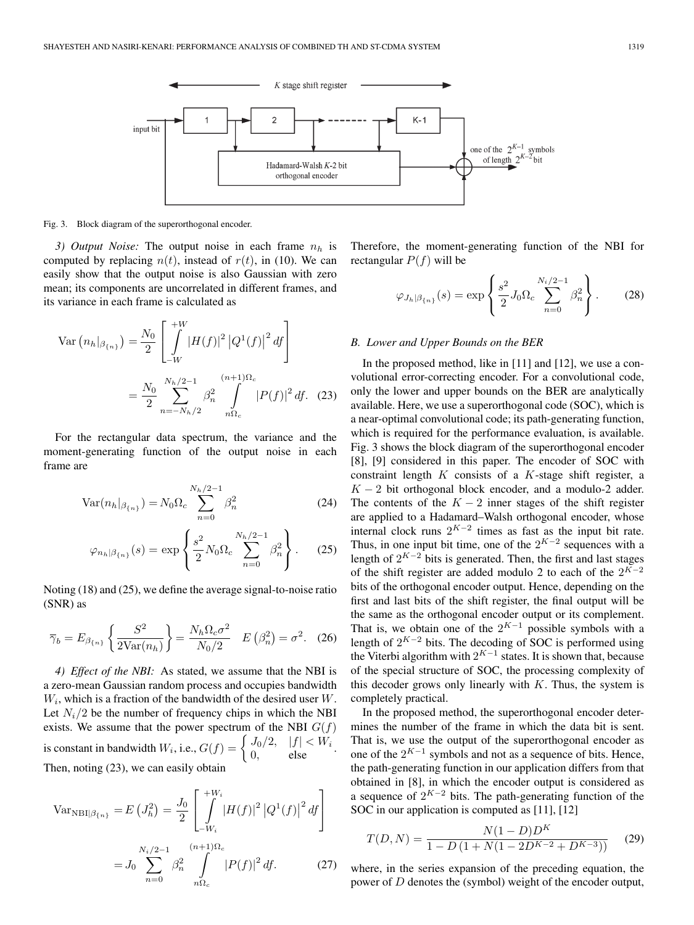

Fig. 3. Block diagram of the superorthogonal encoder.

*3) Output Noise:* The output noise in each frame  $n<sub>b</sub>$  is computed by replacing  $n(t)$ , instead of  $r(t)$ , in (10). We can easily show that the output noise is also Gaussian with zero mean; its components are uncorrelated in different frames, and its variance in each frame is calculated as

$$
\text{Var}\left(n_h|_{\beta_{\{n\}}}\right) = \frac{N_0}{2} \left[ \int\limits_{-W}^{+W} |H(f)|^2 |Q^1(f)|^2 \, df \right]
$$
\n
$$
= \frac{N_0}{2} \sum\limits_{n=-N_h/2}^{N_h/2-1} \beta_n^2 \int\limits_{n\Omega_c}^{(n+1)\Omega_c} |P(f)|^2 \, df. \tag{23}
$$

For the rectangular data spectrum, the variance and the moment-generating function of the output noise in each frame are

$$
Var(n_h|_{\beta_{\{n\}}}) = N_0 \Omega_c \sum_{n=0}^{N_h/2 - 1} \beta_n^2
$$
 (24)

$$
\varphi_{n_h|\beta_{\{n\}}}(s) = \exp\left\{\frac{s^2}{2}N_0\Omega_c \sum_{n=0}^{N_h/2-1} \beta_n^2\right\}.
$$
 (25)

Noting (18) and (25), we define the average signal-to-noise ratio (SNR) as

$$
\overline{\gamma}_b = E_{\beta_{\{n\}}}\left\{\frac{S^2}{2\text{Var}(n_h)}\right\} = \frac{N_h \Omega_c \sigma^2}{N_0/2} \quad E\left(\beta_n^2\right) = \sigma^2. \tag{26}
$$

*4) Effect of the NBI:* As stated, we assume that the NBI is a zero-mean Gaussian random process and occupies bandwidth  $W_i$ , which is a fraction of the bandwidth of the desired user  $W$ . Let  $N_i/2$  be the number of frequency chips in which the NBI exists. We assume that the power spectrum of the NBI  $G(f)$ is constant in bandwidth  $W_i$ , i.e.,  $G(f) = \begin{cases} J_0/2, & |f| < W_i \\ 0, & \text{else} \end{cases}$ .<br>Then noting (23) we can easily obtain Then, noting (23), we can easily obtain

$$
\text{Var}_{\text{NBI}|\beta_{\{n\}}} = E\left(J_h^2\right) = \frac{J_0}{2} \left[ \int_{-W_i}^{+W_i} |H(f)|^2 \left|Q^1(f)\right|^2 df \right]
$$

$$
= J_0 \sum_{n=0}^{N_i/2 - 1} \beta_n^2 \int_{n\Omega_c}^{(n+1)\Omega_c} |P(f)|^2 df. \tag{27}
$$

Therefore, the moment-generating function of the NBI for rectangular  $P(f)$  will be

$$
\varphi_{J_h|\beta_{\{n\}}}(s) = \exp\left\{\frac{s^2}{2} J_0 \Omega_c \sum_{n=0}^{N_i/2 - 1} \beta_n^2\right\}.
$$
 (28)

#### *B. Lower and Upper Bounds on the BER*

In the proposed method, like in [11] and [12], we use a convolutional error-correcting encoder. For a convolutional code, only the lower and upper bounds on the BER are analytically available. Here, we use a superorthogonal code (SOC), which is a near-optimal convolutional code; its path-generating function, which is required for the performance evaluation, is available. Fig. 3 shows the block diagram of the superorthogonal encoder [8], [9] considered in this paper. The encoder of SOC with constraint length  $K$  consists of a  $K$ -stage shift register, a  $K - 2$  bit orthogonal block encoder, and a modulo-2 adder. The contents of the  $K - 2$  inner stages of the shift register are applied to a Hadamard–Walsh orthogonal encoder, whose internal clock runs  $2^{K-2}$  times as fast as the input bit rate. Thus, in one input bit time, one of the  $2^{K-2}$  sequences with a length of  $2^{K-2}$  bits is generated. Then, the first and last stages of the shift register are added modulo 2 to each of the  $2^{K-2}$ bits of the orthogonal encoder output. Hence, depending on the first and last bits of the shift register, the final output will be the same as the orthogonal encoder output or its complement. That is, we obtain one of the  $2^{K-1}$  possible symbols with a length of  $2^{K-2}$  bits. The decoding of SOC is performed using the Viterbi algorithm with  $2^{K-1}$  states. It is shown that, because of the special structure of SOC, the processing complexity of this decoder grows only linearly with  $K$ . Thus, the system is completely practical.

In the proposed method, the superorthogonal encoder determines the number of the frame in which the data bit is sent. That is, we use the output of the superorthogonal encoder as one of the  $2^{K-1}$  symbols and not as a sequence of bits. Hence, the path-generating function in our application differs from that obtained in [8], in which the encoder output is considered as a sequence of  $2^{K-2}$  bits. The path-generating function of the SOC in our application is computed as [11], [12]

$$
T(D, N) = \frac{N(1 - D)D^{K}}{1 - D(1 + N(1 - 2D^{K-2} + D^{K-3}))}
$$
(29)

where, in the series expansion of the preceding equation, the power of D denotes the (symbol) weight of the encoder output,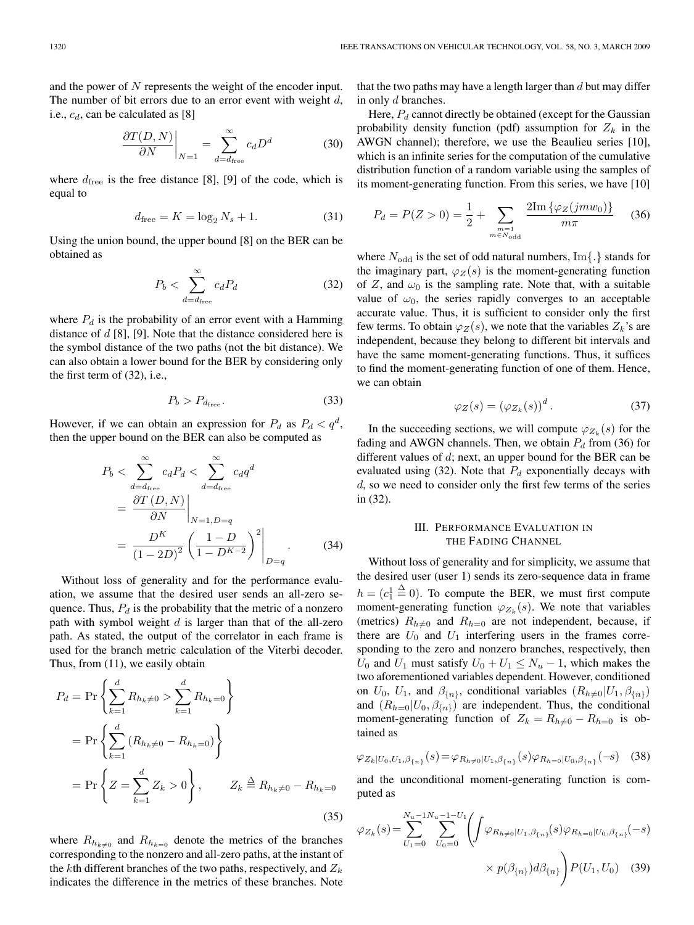and the power of N represents the weight of the encoder input. The number of bit errors due to an error event with weight  $d$ , i.e.,  $c_d$ , can be calculated as [8]

$$
\left. \frac{\partial T(D, N)}{\partial N} \right|_{N=1} = \sum_{d=d_{\text{free}}}^{\infty} c_d D^d \tag{30}
$$

where  $d_{\text{free}}$  is the free distance [8], [9] of the code, which is equal to

$$
d_{\text{free}} = K = \log_2 N_s + 1. \tag{31}
$$

Using the union bound, the upper bound [8] on the BER can be obtained as

$$
P_b < \sum_{d=d_{\text{free}}}^{\infty} c_d P_d \tag{32}
$$

where  $P_d$  is the probability of an error event with a Hamming distance of  $d$  [8], [9]. Note that the distance considered here is the symbol distance of the two paths (not the bit distance). We can also obtain a lower bound for the BER by considering only the first term of (32), i.e.,

$$
P_b > P_{d_{\text{free}}}.\tag{33}
$$

However, if we can obtain an expression for  $P_d$  as  $P_d < q^d$ , then the upper bound on the BER can also be computed as

$$
P_b < \sum_{d=d_{\text{free}}}^{\infty} c_d P_d < \sum_{d=d_{\text{free}}}^{\infty} c_d q^d
$$
\n
$$
= \frac{\partial T(D, N)}{\partial N} \bigg|_{N=1, D=q}
$$
\n
$$
= \frac{D^K}{(1-2D)^2} \left( \frac{1-D}{1-D^{K-2}} \right)^2 \bigg|_{D=q} . \tag{34}
$$

Without loss of generality and for the performance evaluation, we assume that the desired user sends an all-zero sequence. Thus,  $P_d$  is the probability that the metric of a nonzero path with symbol weight  $d$  is larger than that of the all-zero path. As stated, the output of the correlator in each frame is used for the branch metric calculation of the Viterbi decoder. Thus, from (11), we easily obtain

$$
P_d = \Pr\left\{\sum_{k=1}^d R_{h_k \neq 0} > \sum_{k=1}^d R_{h_k = 0}\right\}
$$
  
=  $\Pr\left\{\sum_{k=1}^d (R_{h_k \neq 0} - R_{h_k = 0})\right\}$   
=  $\Pr\left\{Z = \sum_{k=1}^d Z_k > 0\right\}, \qquad Z_k \triangleq R_{h_k \neq 0} - R_{h_k = 0}$  (35)

where  $R_{h_{k\neq0}}$  and  $R_{h_{k=0}}$  denote the metrics of the branches corresponding to the nonzero and all-zero paths, at the instant of the kth different branches of the two paths, respectively, and  $Z_k$ indicates the difference in the metrics of these branches. Note

that the two paths may have a length larger than  $d$  but may differ in only d branches.

Here,  $P_d$  cannot directly be obtained (except for the Gaussian probability density function (pdf) assumption for  $Z_k$  in the AWGN channel); therefore, we use the Beaulieu series [10], which is an infinite series for the computation of the cumulative distribution function of a random variable using the samples of its moment-generating function. From this series, we have [10]

$$
P_d = P(Z > 0) = \frac{1}{2} + \sum_{\substack{m=1 \ m \in N_{\text{odd}}}} \frac{2 \text{Im} \left\{ \varphi_Z(j m w_0) \right\}}{m \pi} \tag{36}
$$

where  $N_{\text{odd}}$  is the set of odd natural numbers, Im{.} stands for the imaginary part,  $\varphi_Z(s)$  is the moment-generating function of Z, and  $\omega_0$  is the sampling rate. Note that, with a suitable value of  $\omega_0$ , the series rapidly converges to an acceptable accurate value. Thus, it is sufficient to consider only the first few terms. To obtain  $\varphi_Z(s)$ , we note that the variables  $Z_k$ 's are independent, because they belong to different bit intervals and have the same moment-generating functions. Thus, it suffices to find the moment-generating function of one of them. Hence, we can obtain

$$
\varphi_Z(s) = (\varphi_{Z_k}(s))^d. \tag{37}
$$

In the succeeding sections, we will compute  $\varphi_{Z_k}(s)$  for the fading and AWGN channels. Then, we obtain  $P_d$  from (36) for different values of d; next, an upper bound for the BER can be evaluated using (32). Note that  $P_d$  exponentially decays with d, so we need to consider only the first few terms of the series in (32).

## III. PERFORMANCE EVALUATION IN THE FADING CHANNEL

Without loss of generality and for simplicity, we assume that the desired user (user 1) sends its zero-sequence data in frame  $h = (c_1^1)$  $\stackrel{\Delta}{=}$  0). To compute the BER, we must first compute moment-generating function  $\varphi_{Z_k}(s)$ . We note that variables (metrics)  $R_{h\neq0}$  and  $R_{h=0}$  are not independent, because, if there are  $U_0$  and  $U_1$  interfering users in the frames corresponding to the zero and nonzero branches, respectively, then  $U_0$  and  $U_1$  must satisfy  $U_0 + U_1 \leq N_u - 1$ , which makes the two aforementioned variables dependent. However, conditioned on  $U_0$ ,  $U_1$ , and  $\beta_{\{n\}}$ , conditional variables  $(R_{h\neq0}|U_1,\beta_{\{n\}})$ and  $(R_{h=0}|U_0, \beta_{n})$  are independent. Thus, the conditional moment-generating function of  $Z_k = R_{k+0} - R_{k=0}$  is obtained as

$$
\varphi_{Z_k|U_0, U_1, \beta_{\{n\}}}(s) = \varphi_{R_{h \neq 0}|U_1, \beta_{\{n\}}}(s) \varphi_{R_{h=0}|U_0, \beta_{\{n\}}}(-s) \quad (38)
$$

and the unconditional moment-generating function is computed as

$$
\varphi_{Z_k}(s) = \sum_{U_1=0}^{N_u - 1 N_u - 1 - U_1} \left( \int \varphi_{R_{h \neq 0} | U_1, \beta_{\{n\}}}(s) \varphi_{R_{h=0} | U_0, \beta_{\{n\}}}( - s) \times p(\beta_{\{n\}}) d\beta_{\{n\}} \right) P(U_1, U_0) \quad (39)
$$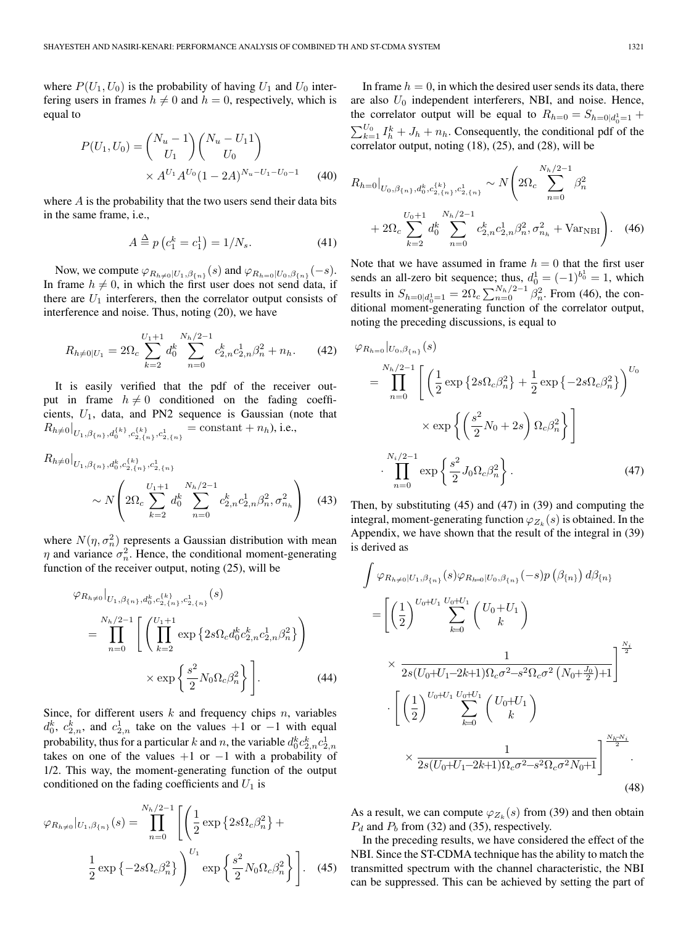where  $P(U_1, U_0)$  is the probability of having  $U_1$  and  $U_0$  interfering users in frames  $h \neq 0$  and  $h = 0$ , respectively, which is equal to

$$
P(U_1, U_0) = {N_u - 1 \choose U_1} {N_u - U_1 1 \choose U_0}
$$
  
×  $A^{U_1} A^{U_0} (1 - 2A)^{N_u - U_1 - U_0 - 1}$  (40)

where  $A$  is the probability that the two users send their data bits in the same frame, i.e.,

$$
A \stackrel{\Delta}{=} p(c_1^k = c_1^1) = 1/N_s.
$$
 (41)

Now, we compute  $\varphi_{R_{h\neq0}|U_1,\beta_{n}}(s)$  and  $\varphi_{R_{h=0}|U_0,\beta_{n}}(-s)$ . In frame  $h \neq 0$ , in which the first user does not send data, if there are  $U_1$  interferers, then the correlator output consists of interference and noise. Thus, noting (20), we have

$$
R_{h \neq 0|U_1} = 2\Omega_c \sum_{k=2}^{U_1+1} d_0^k \sum_{n=0}^{N_h/2-1} c_{2,n}^k c_{2,n}^1 \beta_n^2 + n_h. \tag{42}
$$

It is easily verified that the pdf of the receiver output in frame  $h \neq 0$  conditioned on the fading coefficients,  $U_1$ , data, and PN2 sequence is Gaussian (note that  $R_{h\neq0}|_{U_1,\beta_{\{n\}},d_0^{\{k\}},c_{2,\{n\}}^{\{k\}},c_{2,\{n\}}^1} = \text{constant} + n_h$ ), i.e.,

$$
R_{h \neq 0}|_{U_1, \beta_{\{n\}}, d_0^k, c_{2, \{n\}}^{(k)}, c_{2, \{n\}}^{1}, \dots, c_{2, \{n\}}^{1}} \sim N\left(2\Omega_c \sum_{k=2}^{U_1+1} d_0^k \sum_{n=0}^{N_h/2-1} c_{2,n}^k c_{2,n}^1 \beta_n^2, \sigma_{n_h}^2\right)
$$
(43)

where  $N(\eta, \sigma_n^2)$  represents a Gaussian distribution with mean<br>n and variance  $\sigma^2$ . Hence, the conditional moment-generating  $\eta$  and variance  $\sigma_n^2$ . Hence, the conditional moment-generating function of the receiver output, noting (25), will be

$$
\varphi_{R_{h\neq 0}}|_{U_1, \beta_{\{n\}}, d_0^k, c_{2,\{n\}}^{k\}, c_{2,\{n\}}^{1}}(s)
$$
\n
$$
= \prod_{n=0}^{N_h/2-1} \left[ \left( \prod_{k=2}^{U_1+1} \exp\left\{2s\Omega_c d_0^k c_{2,n}^k c_{2,n}^1 \beta_n^2\right\} \right) \times \exp\left\{\frac{s^2}{2} N_0 \Omega_c \beta_n^2\right\} \right].
$$
\n(44)

Since, for different users  $k$  and frequency chips  $n$ , variables  $d_0^k$ ,  $c_2^k$ , and  $c_{2,n}^1$  take on the values +1 or −1 with equal probability thus for a particular hand p the variable  $d^k c^k$ probability, thus for a particular k and n, the variable  $d_0^k c_{2,n}^k c_{2,n}^1$ takes on one of the values  $+1$  or  $-1$  with a probability of 1/2. This way, the moment-generating function of the output conditioned on the fading coefficients and  $U_1$  is

$$
\varphi_{R_{h\neq 0}}|_{U_1,\beta_{\{n\}}}(s) = \prod_{n=0}^{N_h/2-1} \left[ \left( \frac{1}{2} \exp \left\{ 2s \Omega_c \beta_n^2 \right\} + \frac{1}{2} \exp \left\{ -2s \Omega_c \beta_n^2 \right\} \right)^{U_1} \exp \left\{ \frac{s^2}{2} N_0 \Omega_c \beta_n^2 \right\} \right].
$$
 (45)

In frame  $h = 0$ , in which the desired user sends its data, there are also  $U_0$  independent interferers, NBI, and noise. Hence, the correlator output will be equal to  $R_{h=0} = S_{h=0|d_0-1} + \sum_{k=0}^{h=0} I_k$  $\sum_{k=1}^{U_0} I_h^k + J_h + n_h$ . Consequently, the conditional pdf of the correlator output, noting (18) (25) and (28) will be correlator output, noting (18), (25), and (28), will be

$$
R_{h=0}|_{U_0, \beta_{\{n\}}, d_0^k, c_{2,\{n\}}^{(k)}, c_{2,\{n\}}^1} \sim N\left(2\Omega_c \sum_{n=0}^{N_h/2-1} \beta_n^2 + 2\Omega_c \sum_{k=2}^{U_0+1} d_0^k \sum_{n=0}^{N_h/2-1} c_{2,n}^k c_{2,n}^1 \beta_n^2, \sigma_{n_h}^2 + \text{Var}_{\text{NBI}}\right).
$$
 (46)

Note that we have assumed in frame  $h = 0$  that the first user<br>sends an all-zero bit sequence; thus,  $d_0^1 = (-1)^{b_0^1} = 1$ , which<br>results in  $S_{h=0|d_0^1=1} = 2\Omega_c \sum_{n=0}^{N_h/2-1} \beta_n^2$ . From (46), the con-<br>ditional moment-g ditional moment-generating function of the correlator output, noting the preceding discussions, is equal to

$$
\varphi_{R_{h=0}}|_{U_0,\beta_{\{n\}}}(s)
$$
\n
$$
= \prod_{n=0}^{N_h/2-1} \left[ \left( \frac{1}{2} \exp \left\{ 2s \Omega_c \beta_n^2 \right\} + \frac{1}{2} \exp \left\{ -2s \Omega_c \beta_n^2 \right\} \right)^{U_0}
$$
\n
$$
\times \exp \left\{ \left( \frac{s^2}{2} N_0 + 2s \right) \Omega_c \beta_n^2 \right\} \right]
$$
\n
$$
\cdot \prod_{n=0}^{N_i/2-1} \exp \left\{ \frac{s^2}{2} J_0 \Omega_c \beta_n^2 \right\}. \tag{47}
$$

Then, by substituting (45) and (47) in (39) and computing the integral, moment-generating function  $\varphi_{Z_k}(s)$  is obtained. In the Appendix, we have shown that the result of the integral in (39) is derived as

$$
\int \varphi_{R_{h\neq 0}|U_{1},\beta_{\{n\}}}(s)\varphi_{R_{h=0}|U_{0},\beta_{\{n\}}}( - s)p\left(\beta_{\{n\}}\right)d\beta_{\{n\}}\n= \left[ \left(\frac{1}{2}\right)^{U_{0}+U_{1}}\sum_{k=0}^{U_{0}+U_{1}}\left(\frac{U_{0}+U_{1}}{k}\right)\right] \times \frac{1}{2s(U_{0}+U_{1}-2k+1)\Omega_{c}\sigma^{2}-s^{2}\Omega_{c}\sigma^{2}\left(N_{0}+\frac{J_{0}}{2}\right)+1} \right]^{\frac{N_{i}}{2}}\cdot \left[ \left(\frac{1}{2}\right)^{U_{0}+U_{1}}\sum_{k=0}^{U_{0}+U_{1}}\left(\frac{U_{0}+U_{1}}{k}\right)\right] \times \frac{1}{2s(U_{0}+U_{1}-2k+1)\Omega_{c}\sigma^{2}-s^{2}\Omega_{c}\sigma^{2}N_{0}+1} \right]^{\frac{N_{h}-N_{i}}{2}}.
$$
\n(48)

As a result, we can compute  $\varphi_{Z_k}(s)$  from (39) and then obtain  $P_d$  and  $P_b$  from (32) and (35), respectively.

In the preceding results, we have considered the effect of the NBI. Since the ST-CDMA technique has the ability to match the transmitted spectrum with the channel characteristic, the NBI can be suppressed. This can be achieved by setting the part of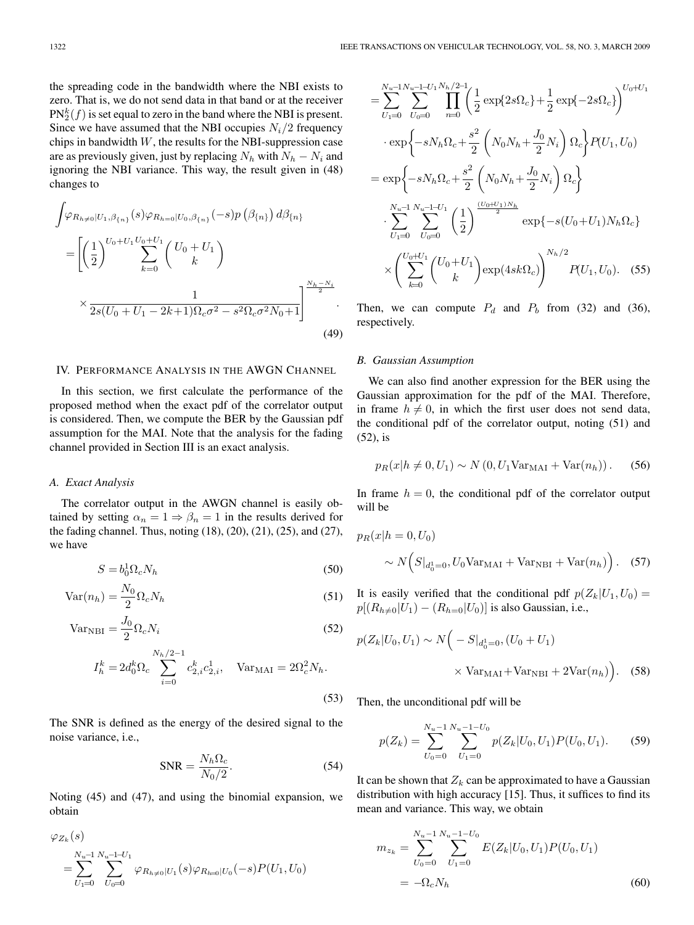the spreading code in the bandwidth where the NBI exists to zero. That is, we do not send data in that band or at the receiver  $PN_{2}^{k}(f)$  is set equal to zero in the band where the NBI is present.<br>Since we have assumed that the NBI occuries  $N/2$  frequency Since we have assumed that the NBI occupies  $N_i/2$  frequency chips in bandwidth  $W$ , the results for the NBI-suppression case are as previously given, just by replacing  $N_h$  with  $N_h - N_i$  and ignoring the NBI variance. This way, the result given in (48) changes to

$$
\int \varphi_{R_{h\neq 0}|U_1, \beta_{\{n\}}}(s) \varphi_{R_{h=0}|U_0, \beta_{\{n\}}}( - s) p\left(\beta_{\{n\}}\right) d\beta_{\{n\}}\n= \left[ \left(\frac{1}{2}\right)^{U_0 + U_1} \sum_{k=0}^{U_0 + U_1} \binom{U_0 + U_1}{k}\n\times \frac{1}{2s(U_0 + U_1 - 2k + 1)\Omega_c \sigma^2 - s^2 \Omega_c \sigma^2 N_0 + 1} \right]^{\frac{N_h - N_i}{2}}.
$$
\n(49)

## IV. PERFORMANCE ANALYSIS IN THE AWGN CHANNEL

In this section, we first calculate the performance of the proposed method when the exact pdf of the correlator output is considered. Then, we compute the BER by the Gaussian pdf assumption for the MAI. Note that the analysis for the fading channel provided in Section III is an exact analysis.

#### *A. Exact Analysis*

The correlator output in the AWGN channel is easily obtained by setting  $\alpha_n = 1 \Rightarrow \beta_n = 1$  in the results derived for the fading channel. Thus, noting (18), (20), (21), (25), and (27), we have

$$
S = b_0^1 \Omega_c N_h \tag{50}
$$

$$
Var(n_h) = \frac{N_0}{2} \Omega_c N_h
$$
\n(51)

$$
Var_{NBI} = \frac{J_0}{2} \Omega_c N_i
$$
\n(52)

$$
I_h^k = 2d_0^k \Omega_c \sum_{i=0}^{N_h/2-1} c_{2,i}^k c_{2,i}^1, \quad \text{Var}_{\text{MAI}} = 2\Omega_c^2 N_h.
$$
\n(53)

The SNR is defined as the energy of the desired signal to the noise variance, i.e.,

$$
SNR = \frac{N_h \Omega_c}{N_0/2}.
$$
\n(54)

Noting (45) and (47), and using the binomial expansion, we obtain

$$
\varphi_{Z_k}(s) = \sum_{U_1=0}^{N_u-1} \sum_{U_0=0}^{N_u-1-U_1} \varphi_{R_{h\neq 0}|U_1}(s) \varphi_{R_{h=0}|U_0}(-s) P(U_1, U_0)
$$

$$
= \sum_{U_1=0}^{N_u-1} \sum_{U_0=0}^{N_u-1-U_1} \prod_{n=0}^{N_h/2-1} \left( \frac{1}{2} \exp\{2s\Omega_c\} + \frac{1}{2} \exp\{-2s\Omega_c\} \right)^{U_0+U_1}
$$
  

$$
\cdot \exp\left\{-sN_h\Omega_c + \frac{s^2}{2} \left( N_0N_h + \frac{J_0}{2}N_i \right) \Omega_c \right\} P(U_1, U_0)
$$
  

$$
= \exp\left\{-sN_h\Omega_c + \frac{s^2}{2} \left( N_0N_h + \frac{J_0}{2}N_i \right) \Omega_c \right\}
$$
  

$$
\cdot \sum_{U_1=0}^{N_u-1} \sum_{U_0=0}^{N_u-1-U_1} \left( \frac{1}{2} \right)^{\frac{(U_0+U_1)N_h}{2}} \exp\{-s(U_0+U_1)N_h\Omega_c\}
$$
  

$$
\times \left( \sum_{k=0}^{U_0+U_1} {U_0+U_1 \choose k} \exp\{4sk\Omega_c \} \right)^{N_h/2} P(U_1, U_0). \quad (55)
$$

Then, we can compute  $P_d$  and  $P_b$  from (32) and (36), respectively.

#### *B. Gaussian Assumption*

We can also find another expression for the BER using the Gaussian approximation for the pdf of the MAI. Therefore, in frame  $h \neq 0$ , in which the first user does not send data, the conditional pdf of the correlator output, noting (51) and (52), is

$$
p_R(x|h \neq 0, U_1) \sim N(0, U_1 \text{Var}_{\text{MAI}} + \text{Var}(n_h)).
$$
 (56)

In frame  $h = 0$ , the conditional pdf of the correlator output will be

$$
p_R(x|h=0, U_0)
$$
  
 
$$
\sim N(S|_{d_0^1=0}, U_0 \text{Var}_{\text{MAI}} + \text{Var}_{\text{NBI}} + \text{Var}(n_h)). \quad (57)
$$

It is easily verified that the conditional pdf  $p(Z_k|U_1, U_0)$  =  $p[(R_{h\neq0}|U_1) - (R_{h=0}|U_0)]$  is also Gaussian, i.e.,

$$
p(Z_k|U_0, U_1) \sim N\Big(-S|_{d_0^1=0}, (U_0+U_1)
$$
  
 
$$
\times \text{Var}_{\text{MAI}} + \text{Var}_{\text{NBI}} + 2\text{Var}(n_h)\Big). \quad (58)
$$

Then, the unconditional pdf will be

$$
p(Z_k) = \sum_{U_0=0}^{N_u-1} \sum_{U_1=0}^{N_u-1-U_0} p(Z_k|U_0, U_1) P(U_0, U_1).
$$
 (59)

It can be shown that  $Z_k$  can be approximated to have a Gaussian distribution with high accuracy [15]. Thus, it suffices to find its mean and variance. This way, we obtain

$$
m_{z_k} = \sum_{U_0=0}^{N_u-1} \sum_{U_1=0}^{N_u-1-U_0} E(Z_k|U_0, U_1) P(U_0, U_1)
$$
  
= 
$$
-\Omega_c N_h
$$
 (60)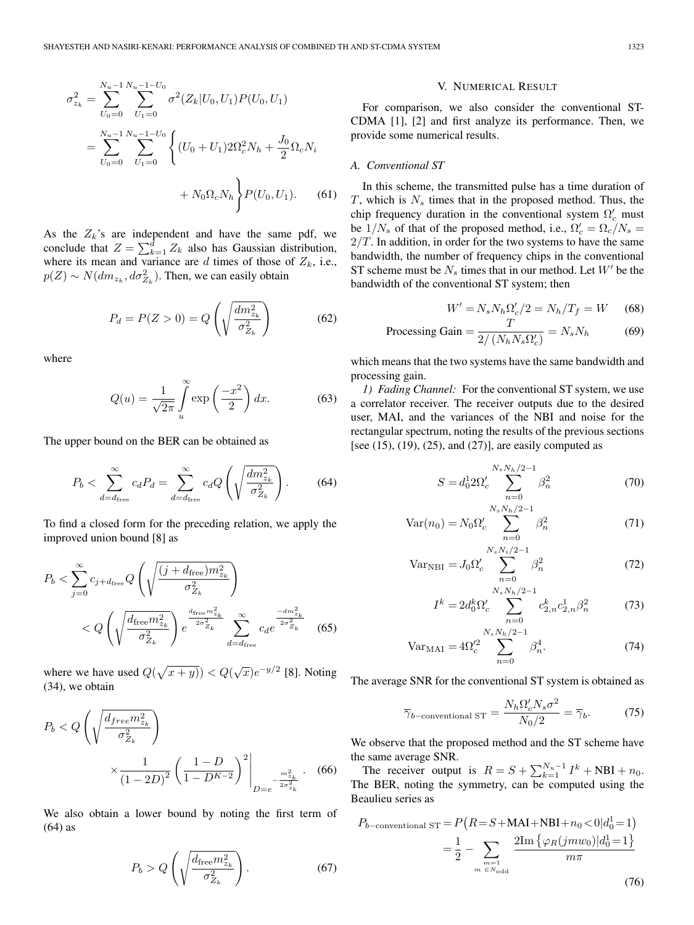$$
\sigma_{z_k}^2 = \sum_{U_0=0}^{N_u-1} \sum_{U_1=0}^{N_u-1-U_0} \sigma^2(Z_k|U_0, U_1) P(U_0, U_1)
$$
  
= 
$$
\sum_{U_0=0}^{N_u-1} \sum_{U_1=0}^{N_u-1-U_0} \left\{ (U_0 + U_1) 2\Omega_c^2 N_h + \frac{J_0}{2} \Omega_c N_i + N_0 \Omega_c N_h \right\} P(U_0, U_1).
$$
 (61)

As the  $Z_k$ 's are independent and have the same pdf, we conclude that  $Z = \sum_{k=1}^{d} Z_k$  also has Gaussian distribution, where its mean and variance are  $d$  times of those of  $Z_k$ , i.e.,  $p(Z) \sim N(dm_{z_k}, d\sigma_{Z_k}^2)$ . Then, we can easily obtain

$$
P_d = P(Z > 0) = Q\left(\sqrt{\frac{dm_{z_k}^2}{\sigma_{Z_k}^2}}\right) \tag{62}
$$

where

$$
Q(u) = \frac{1}{\sqrt{2\pi}} \int_{u}^{\infty} \exp\left(\frac{-x^2}{2}\right) dx.
$$
 (63)

The upper bound on the BER can be obtained as

$$
P_b < \sum_{d=d_{\text{free}}}^{\infty} c_d P_d = \sum_{d=d_{\text{free}}}^{\infty} c_d Q \left( \sqrt{\frac{dm_{z_k}^2}{\sigma_{Z_k}^2}} \right). \tag{64}
$$

To find a closed form for the preceding relation, we apply the improved union bound [8] as

$$
P_b < \sum_{j=0}^{\infty} c_{j+d_{\text{free}}} Q\left(\sqrt{\frac{(j+d_{\text{free}})m_{z_k}^2}{\sigma_{Z_k}^2}}\right) \\
&< Q\left(\sqrt{\frac{d_{\text{free}}m_{z_k}^2}{\sigma_{Z_k}^2}}\right) e^{\frac{d_{\text{free}}m_{z_k}^2}{2\sigma_{Z_k}^2}} \sum_{d=d_{\text{free}}}^{\infty} c_d e^{\frac{-d m_{z_k}^2}{2\sigma_{Z_k}^2}} \tag{65}
$$

where we have used  $Q(\sqrt{x+y}) < Q(\sqrt{x})e^{-y/2}$  [8]. Noting (34) we obtain (34), we obtain

$$
P_b < Q\left(\sqrt{\frac{d_{free}m_{z_k}^2}{\sigma_{Z_k}^2}}\right) \times \frac{1}{(1-2D)^2} \left(\frac{1-D}{1-D^{K-2}}\right)^2 \Bigg|_{D=e^{-\frac{m_{z_k}^2}{2\sigma_{z_k}^2}}} \tag{66}
$$

We also obtain a lower bound by noting the first term of (64) as

$$
P_b > Q\left(\sqrt{\frac{d_{\text{free}} m_{z_k}^2}{\sigma_{Z_k}^2}}\right).
$$
 (67)

#### V. NUMERICAL RESULT

For comparison, we also consider the conventional ST-CDMA [1], [2] and first analyze its performance. Then, we provide some numerical results.

#### *A. Conventional ST*

In this scheme, the transmitted pulse has a time duration of  $T$ , which is  $N<sub>s</sub>$  times that in the proposed method. Thus, the chip frequency duration in the conventional system  $\Omega_c'$  must<br>be  $1/N$  of that of the proposed method i.e.  $Q' = Q/N$ . be  $1/N_s$  of that of the proposed method, i.e.,  $\Omega_c' = \Omega_c/N_s =$ <br> $2/T$  In addition in order for the two systems to have the same  $2/T$ . In addition, in order for the two systems to have the same bandwidth, the number of frequency chips in the conventional ST scheme must be  $N_s$  times that in our method. Let  $W'$  be the bandwidth of the conventional ST system; then

$$
W' = N_s N_h \Omega_c'/2 = N_h/T_f = W \qquad (68)
$$

$$
Processing Gain = \frac{T}{2/(N_h N_s \Omega_c')} = N_s N_h \tag{69}
$$

which means that the two systems have the same bandwidth and processing gain.

*1) Fading Channel:* For the conventional ST system, we use a correlator receiver. The receiver outputs due to the desired user, MAI, and the variances of the NBI and noise for the rectangular spectrum, noting the results of the previous sections [see (15), (19), (25), and (27)], are easily computed as

$$
S = d_0^1 2\Omega_c' \sum_{n=0}^{N_s N_h/2 - 1} \beta_n^2
$$
 (70)

$$
Var(n_0) = N_0 \Omega_c' \sum_{n=0}^{N_s N_h/2 - 1} \beta_n^2
$$
 (71)

$$
Var_{NBI} = J_0 \Omega_c' \sum_{n=0}^{N_s N_i/2 - 1} \beta_n^2
$$
 (72)

$$
I^{k} = 2d_{0}^{k}\Omega_{c}^{\prime} \sum_{n=0}^{N_{s}N_{h}/2-1} c_{2,n}^{k} c_{2,n}^{1}\beta_{n}^{2}
$$
 (73)

$$
Var_{MAI} = 4\Omega_c^{\prime 2} \sum_{n=0}^{N_s N_h/2 - 1} \beta_n^4.
$$
 (74)

The average SNR for the conventional ST system is obtained as

$$
\overline{\gamma}_{b-\text{conventional ST}} = \frac{N_h \Omega_c' N_s \sigma^2}{N_0/2} = \overline{\gamma}_b. \tag{75}
$$

We observe that the proposed method and the ST scheme have the same average SNR.

The receiver output is  $R = S + \sum_{k=1}^{N_u-1} I^k + NBI + n_0$ . The BER, noting the symmetry, can be computed using the Beaulieu series as

$$
P_{b-\text{conventional ST}} = P\left(R = S + \text{MAI} + \text{NBI} + n_0 < 0 | d_0^1 = 1\right)
$$
\n
$$
= \frac{1}{2} - \sum_{\substack{m=1 \ m \in N_{\text{odd}}}} \frac{2 \text{Im}\left\{\varphi_R(jmv_0)|d_0^1 = 1\right\}}{m\pi}
$$
\n
$$
(76)
$$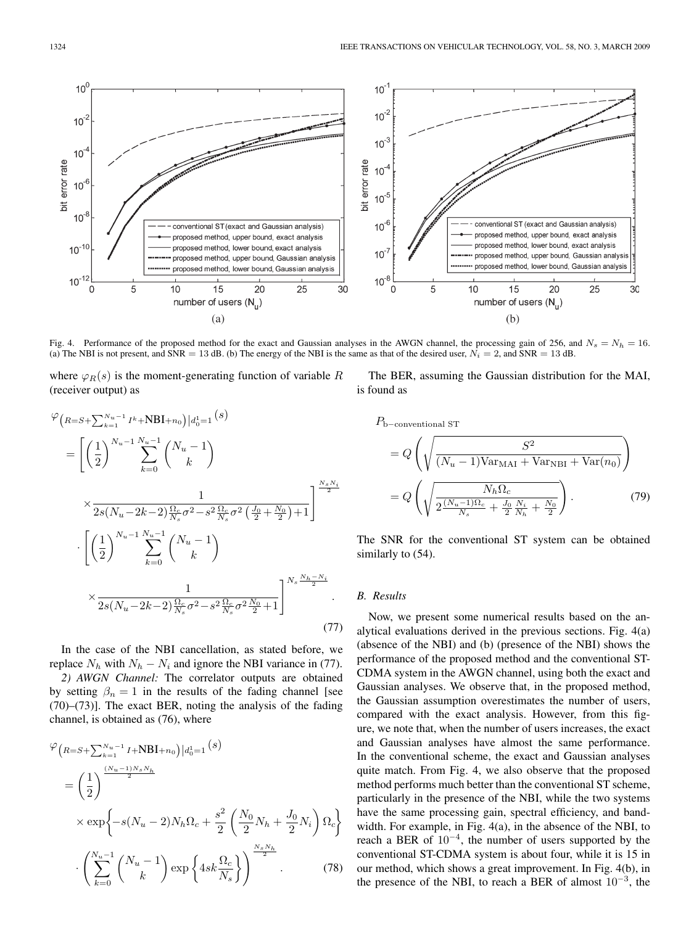

Fig. 4. Performance of the proposed method for the exact and Gaussian analyses in the AWGN channel, the processing gain of 256, and  $N_s = N_h = 16$ . (a) The NBI is not present, and SNR = 13 dB. (b) The energy of the NBI is the same as that of the desired user,  $N_i = 2$ , and SNR = 13 dB.

where  $\varphi_R(s)$  is the moment-generating function of variable R (receiver output) as

$$
\varphi_{\left(R=S+\sum_{k=1}^{N_u-1}I^k+\text{NBI}+n_0\right)|d_0^1=1}(s)
$$
\n
$$
= \left[ \left(\frac{1}{2}\right)^{N_u-1} \sum_{k=0}^{N_u-1} {N_u-1 \choose k} \times \frac{1}{2s(N_u-2k-2)\frac{\Omega_c}{N_s}\sigma^2 - s^2\frac{\Omega_c}{N_s}\sigma^2\left(\frac{J_0}{2} + \frac{N_0}{2}\right) + 1} \right]^{\frac{N_s N_i}{2}}
$$
\n
$$
\cdot \left[ \left(\frac{1}{2}\right)^{N_u-1} \sum_{k=0}^{N_u-1} {N_u-1 \choose k} \times \frac{1}{2s(N_u-2k-2)\frac{\Omega_c}{N_s}\sigma^2 - s^2\frac{\Omega_c}{N_s}\sigma^2\frac{N_0}{2} + 1} \right]^{N_s \frac{N_h - N_i}{2}}
$$
\n
$$
\times \frac{1}{2s(N_u-2k-2)\frac{\Omega_c}{N_s}\sigma^2 - s^2\frac{\Omega_c}{N_s}\sigma^2\frac{N_0}{2} + 1} \qquad (77)
$$

In the case of the NBI cancellation, as stated before, we replace  $N_h$  with  $N_h - N_i$  and ignore the NBI variance in (77).

*2) AWGN Channel:* The correlator outputs are obtained by setting  $\beta_n = 1$  in the results of the fading channel [see (70)–(73)]. The exact BER, noting the analysis of the fading channel, is obtained as (76), where

$$
\varphi_{\left(R=S+\sum_{k=1}^{N_u-1}I+\text{NBI}+n_0\right)|d_0^1=1}(s)
$$
\n
$$
= \left(\frac{1}{2}\right)^{\frac{(N_u-1)N_s N_h}{2}}
$$
\n
$$
\times \exp\left\{-s(N_u-2)N_h\Omega_c+\frac{s^2}{2}\left(\frac{N_0}{2}N_h+\frac{J_0}{2}N_i\right)\Omega_c\right\}
$$
\n
$$
\cdot \left(\sum_{k=0}^{N_u-1} \binom{N_u-1}{k} \exp\left\{4sk\frac{\Omega_c}{N_s}\right\}\right)^{\frac{N_s N_h}{2}}.
$$
\n(78)

The BER, assuming the Gaussian distribution for the MAI, is found as

 $P_{\text{b}-\text{conventional ST}}$ 

$$
= Q\left(\sqrt{\frac{S^2}{(N_u - 1)\text{Var}_{\text{MAI}} + \text{Var}_{\text{NBI}} + \text{Var}(n_0)}}\right)
$$

$$
= Q\left(\sqrt{\frac{N_h \Omega_c}{2\frac{(N_u - 1)\Omega_c}{N_s} + \frac{J_0}{2}\frac{N_i}{N_h} + \frac{N_0}{2}}}\right).
$$
(79)

The SNR for the conventional ST system can be obtained similarly to  $(54)$ .

## *B. Results*

Now, we present some numerical results based on the analytical evaluations derived in the previous sections. Fig. 4(a) (absence of the NBI) and (b) (presence of the NBI) shows the performance of the proposed method and the conventional ST-CDMA system in the AWGN channel, using both the exact and Gaussian analyses. We observe that, in the proposed method, the Gaussian assumption overestimates the number of users, compared with the exact analysis. However, from this figure, we note that, when the number of users increases, the exact and Gaussian analyses have almost the same performance. In the conventional scheme, the exact and Gaussian analyses quite match. From Fig. 4, we also observe that the proposed method performs much better than the conventional ST scheme, particularly in the presence of the NBI, while the two systems have the same processing gain, spectral efficiency, and bandwidth. For example, in Fig. 4(a), in the absence of the NBI, to reach a BER of  $10^{-4}$ , the number of users supported by the conventional ST-CDMA system is about four, while it is 15 in our method, which shows a great improvement. In Fig. 4(b), in the presence of the NBI, to reach a BER of almost  $10^{-3}$ , the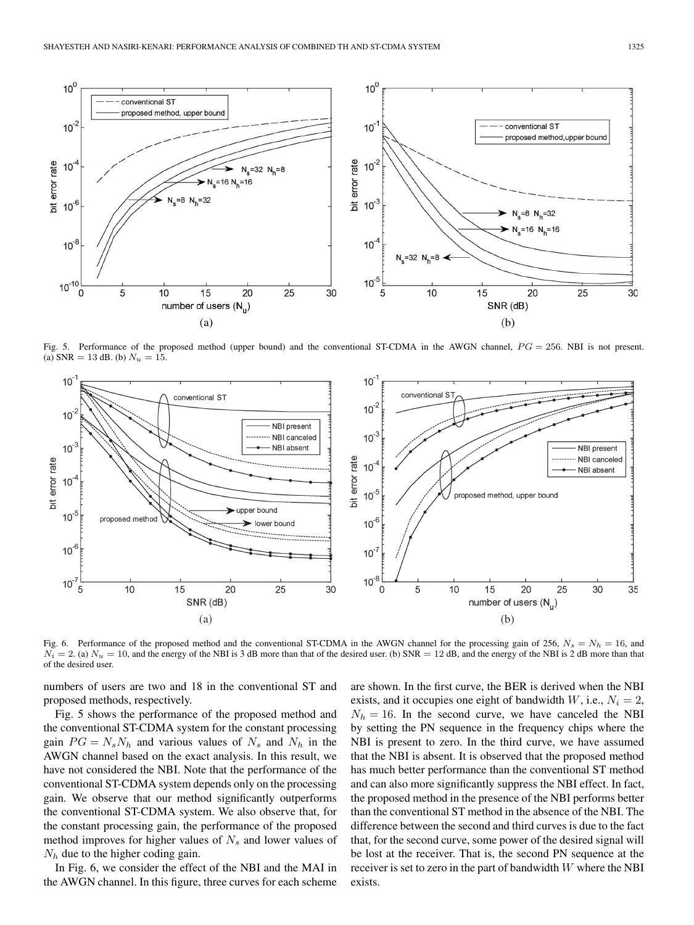

Fig. 5. Performance of the proposed method (upper bound) and the conventional ST-CDMA in the AWGN channel,  $PG = 256$ . NBI is not present. (a)  $SNR = 13$  dB. (b)  $N_u = 15$ .



Fig. 6. Performance of the proposed method and the conventional ST-CDMA in the AWGN channel for the processing gain of 256,  $N_s = N_h = 16$ , and  $N_i = 2$ . (a)  $N_u = 10$ , and the energy of the NBI is 3 dB more than that of the desired user. (b) SNR = 12 dB, and the energy of the NBI is 2 dB more than that of the desired user.

numbers of users are two and 18 in the conventional ST and proposed methods, respectively.

Fig. 5 shows the performance of the proposed method and the conventional ST-CDMA system for the constant processing gain  $PG = N_sN_h$  and various values of  $N_s$  and  $N_h$  in the AWGN channel based on the exact analysis. In this result, we have not considered the NBI. Note that the performance of the conventional ST-CDMA system depends only on the processing gain. We observe that our method significantly outperforms the conventional ST-CDMA system. We also observe that, for the constant processing gain, the performance of the proposed method improves for higher values of  $N<sub>s</sub>$  and lower values of  $N_h$  due to the higher coding gain.

In Fig. 6, we consider the effect of the NBI and the MAI in the AWGN channel. In this figure, three curves for each scheme

are shown. In the first curve, the BER is derived when the NBI exists, and it occupies one eight of bandwidth W, i.e.,  $N_i = 2$ ,  $N_h = 16$ . In the second curve, we have canceled the NBI by setting the PN sequence in the frequency chips where the NBI is present to zero. In the third curve, we have assumed that the NBI is absent. It is observed that the proposed method has much better performance than the conventional ST method and can also more significantly suppress the NBI effect. In fact, the proposed method in the presence of the NBI performs better than the conventional ST method in the absence of the NBI. The difference between the second and third curves is due to the fact that, for the second curve, some power of the desired signal will be lost at the receiver. That is, the second PN sequence at the receiver is set to zero in the part of bandwidth  $W$  where the NBI exists.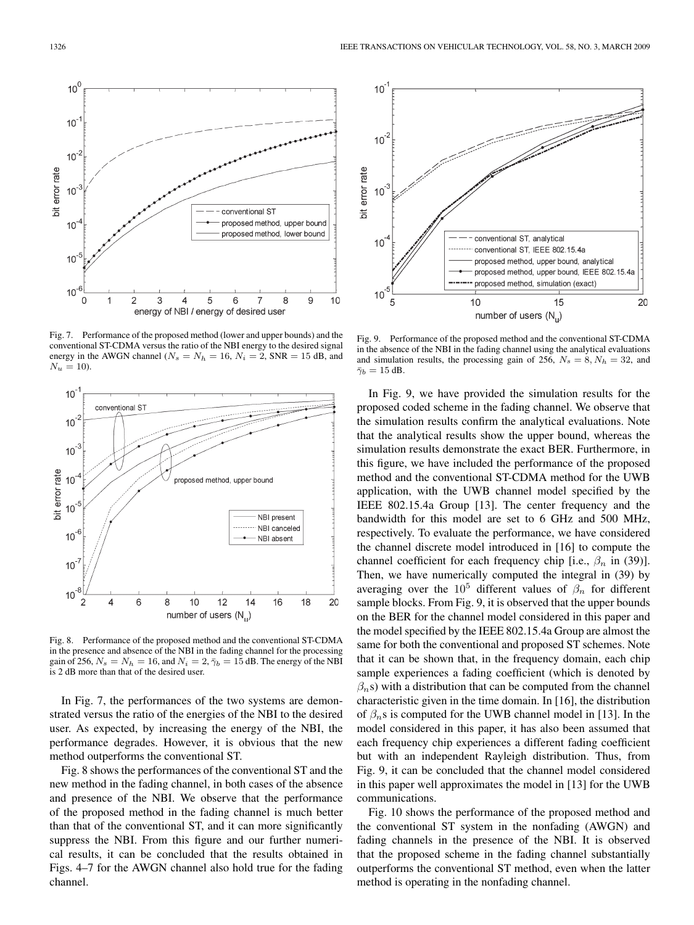

Fig. 7. Performance of the proposed method (lower and upper bounds) and the conventional ST-CDMA versus the ratio of the NBI energy to the desired signal energy in the AWGN channel ( $N_s = N_h = 16$ ,  $N_i = 2$ , SNR = 15 dB, and  $N_u = 10$ ).



Fig. 8. Performance of the proposed method and the conventional ST-CDMA in the presence and absence of the NBI in the fading channel for the processing gain of 256,  $N_s = N_h = 16$ , and  $N_i = 2$ ,  $\bar{\gamma}_b = 15$  dB. The energy of the NBI is 2 dB more than that of the desired user.

In Fig. 7, the performances of the two systems are demonstrated versus the ratio of the energies of the NBI to the desired user. As expected, by increasing the energy of the NBI, the performance degrades. However, it is obvious that the new method outperforms the conventional ST.

Fig. 8 shows the performances of the conventional ST and the new method in the fading channel, in both cases of the absence and presence of the NBI. We observe that the performance of the proposed method in the fading channel is much better than that of the conventional ST, and it can more significantly suppress the NBI. From this figure and our further numerical results, it can be concluded that the results obtained in Figs. 4–7 for the AWGN channel also hold true for the fading channel.



Fig. 9. Performance of the proposed method and the conventional ST-CDMA in the absence of the NBI in the fading channel using the analytical evaluations and simulation results, the processing gain of 256,  $N_s = 8$ ,  $N_h = 32$ , and  $\bar{\gamma}_b = 15$  dB.

In Fig. 9, we have provided the simulation results for the proposed coded scheme in the fading channel. We observe that the simulation results confirm the analytical evaluations. Note that the analytical results show the upper bound, whereas the simulation results demonstrate the exact BER. Furthermore, in this figure, we have included the performance of the proposed method and the conventional ST-CDMA method for the UWB application, with the UWB channel model specified by the IEEE 802.15.4a Group [13]. The center frequency and the bandwidth for this model are set to 6 GHz and 500 MHz, respectively. To evaluate the performance, we have considered the channel discrete model introduced in [16] to compute the channel coefficient for each frequency chip [i.e.,  $\beta_n$  in (39)]. Then, we have numerically computed the integral in (39) by averaging over the  $10^5$  different values of  $\beta_n$  for different sample blocks. From Fig. 9, it is observed that the upper bounds on the BER for the channel model considered in this paper and the model specified by the IEEE 802.15.4a Group are almost the same for both the conventional and proposed ST schemes. Note that it can be shown that, in the frequency domain, each chip sample experiences a fading coefficient (which is denoted by  $(\beta_n s)$  with a distribution that can be computed from the channel characteristic given in the time domain. In [16], the distribution of  $\beta_n$ s is computed for the UWB channel model in [13]. In the model considered in this paper, it has also been assumed that each frequency chip experiences a different fading coefficient but with an independent Rayleigh distribution. Thus, from Fig. 9, it can be concluded that the channel model considered in this paper well approximates the model in [13] for the UWB communications.

Fig. 10 shows the performance of the proposed method and the conventional ST system in the nonfading (AWGN) and fading channels in the presence of the NBI. It is observed that the proposed scheme in the fading channel substantially outperforms the conventional ST method, even when the latter method is operating in the nonfading channel.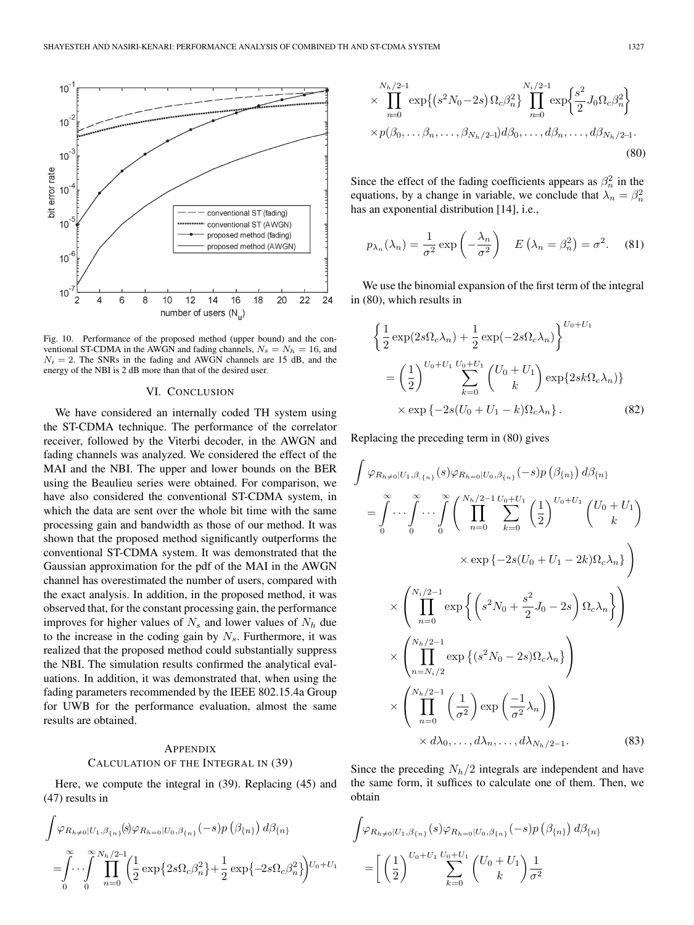

Fig. 10. Performance of the proposed method (upper bound) and the conventional ST-CDMA in the AWGN and fading channels,  $N_s = N_h = 16$ , and  $N_i = 2$ . The SNRs in the fading and AWGN channels are 15 dB, and the energy of the NBI is 2 dB more than that of the desired user.

#### VI. CONCLUSION

We have considered an internally coded TH system using the ST-CDMA technique. The performance of the correlator receiver, followed by the Viterbi decoder, in the AWGN and fading channels was analyzed. We considered the effect of the MAI and the NBI. The upper and lower bounds on the BER using the Beaulieu series were obtained. For comparison, we have also considered the conventional ST-CDMA system, in which the data are sent over the whole bit time with the same processing gain and bandwidth as those of our method. It was shown that the proposed method significantly outperforms the conventional ST-CDMA system. It was demonstrated that the Gaussian approximation for the pdf of the MAI in the AWGN channel has overestimated the number of users, compared with the exact analysis. In addition, in the proposed method, it was observed that, for the constant processing gain, the performance improves for higher values of  $N_s$  and lower values of  $N_h$  due to the increase in the coding gain by  $N_s$ . Furthermore, it was realized that the proposed method could substantially suppress the NBI. The simulation results confirmed the analytical evaluations. In addition, it was demonstrated that, when using the fading parameters recommended by the IEEE 802.15.4a Group for UWB for the performance evaluation, almost the same results are obtained.

# **APPENDIX** CALCULATION OF THE INTEGRAL IN (39)

Here, we compute the integral in (39). Replacing (45) and (47) results in

$$
\int \varphi_{R_{h\neq 0}|U_1,\beta_{\{n\}}}(s) \varphi_{R_{h=0}|U_0,\beta_{\{n\}}}( - s) p\left(\beta_{\{n\}}\right) d\beta_{\{n\}}
$$

$$
= \int_0^\infty \int_0^\infty \prod_{n=0}^{\infty} \left( \frac{1}{2} \exp\left\{2s\Omega_c\beta_n^2\right\} + \frac{1}{2} \exp\left\{-2s\Omega_c\beta_n^2\right\} \right) U_0 + U_1
$$

$$
\times \prod_{n=0}^{N_h/2-1} \exp\{(s^2 N_0 - 2s) \Omega_c \beta_n^2\} \prod_{n=0}^{N_i/2-1} \exp\{\frac{s^2}{2} J_0 \Omega_c \beta_n^2\}
$$
  
 
$$
\times p(\beta_0, \dots \beta_n, \dots, \beta_{N_h/2-1}) d\beta_0, \dots, d\beta_n, \dots, d\beta_{N_h/2-1}.
$$
 (80)

Since the effect of the fading coefficients appears as  $\beta_n^2$  in the equations, by a change in variable, we conclude that  $\lambda_n = \beta_n^2$ <br>has an exponential distribution [14] i.e. has an exponential distribution [14], i.e.,

$$
p_{\lambda_n}(\lambda_n) = \frac{1}{\sigma^2} \exp\left(-\frac{\lambda_n}{\sigma^2}\right) \quad E\left(\lambda_n = \beta_n^2\right) = \sigma^2. \tag{81}
$$

We use the binomial expansion of the first term of the integral in (80), which results in

$$
\left\{\frac{1}{2}\exp(2s\Omega_c\lambda_n) + \frac{1}{2}\exp(-2s\Omega_c\lambda_n)\right\}^{U_0 + U_1}
$$

$$
= \left(\frac{1}{2}\right)^{U_0 + U_1} \sum_{k=0}^{U_0 + U_1} {U_0 + U_1 \choose k} \exp\{2sk\Omega_c\lambda_n\}
$$

$$
\times \exp\{-2s(U_0 + U_1 - k)\Omega_c\lambda_n\}.
$$
(82)

Replacing the preceding term in (80) gives

 $\overline{\phantom{a}}$ 

$$
\left(\varphi_{R_{h\neq0}|U_{1},\beta,\lbrace n\rbrace}(s)\varphi_{R_{h=0}|U_{0},\beta_{\lbrace n\rbrace}}(-s)p\left(\beta_{\lbrace n\rbrace}\right)d\beta_{\lbrace n\rbrace}
$$
\n
$$
=\int_{0}^{\infty}\cdots\int_{0}^{\infty}\cdots\int_{0}^{\infty}\left(\prod_{n=0}^{N_{h}/2-1}\sum_{k=0}^{U_{0}+U_{1}}\left(\frac{1}{2}\right)^{U_{0}+U_{1}}\left(\frac{U_{0}+U_{1}}{k}\right)\right)\times\exp\left\{-2s(U_{0}+U_{1}-2k)\Omega_{c}\lambda_{n}\right\}
$$
\n
$$
\times\left(\prod_{n=0}^{N_{i}/2-1}\exp\left\{\left(s^{2}N_{0}+\frac{s^{2}}{2}J_{0}-2s\right)\Omega_{c}\lambda_{n}\right\}\right)
$$
\n
$$
\times\left(\prod_{n=N_{i}/2}^{N_{h}/2-1}\exp\left\{(s^{2}N_{0}-2s)\Omega_{c}\lambda_{n}\right\}\right)
$$
\n
$$
\times\left(\prod_{n=0}^{N_{h}/2-1}\left(\frac{1}{\sigma^{2}}\right)\exp\left(\frac{-1}{\sigma^{2}}\lambda_{n}\right)\right)
$$
\n
$$
\times d\lambda_{0},\ldots,d\lambda_{n},\ldots,d\lambda_{N_{h}/2-1}.\tag{83}
$$

Since the preceding  $N_h/2$  integrals are independent and have the same form, it suffices to calculate one of them. Then, we obtain

$$
\int \varphi_{R_{h\neq 0}|U_1,\beta_{\{n\}}}(s)\varphi_{R_{h=0}|U_0,\beta_{\{n\}}}(-s)p\left(\beta_{\{n\}}\right)d\beta_{\{n\}}=\left[\left(\frac{1}{2}\right)^{U_0+U_1}\sum_{k=0}^{U_0+U_1}\binom{U_0+U_1}{k}\frac{1}{\sigma^2}\right]
$$